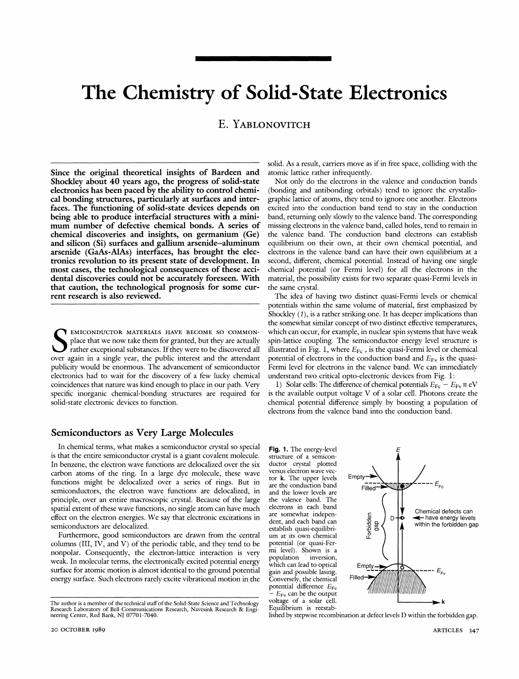# **The Chemistry of Solid-State Electronics**

# E. YABLONOVITCH

**Since the original theoretical insights of Bardeen and Shockley about 40 years ago, the progress of solid-state electronics has been paced by the ability to control chemical bonding structures, particularly at surfaces and interfaces. The functioning of solid-state devices depends on being able to produce interfacial structures with a minimum number of defective chemical bonds. A series of chemical discoveries and insights, on germanium (Ge) and silicon (Si) surfaces and gallium arsenide-aluminum arsenide (GaAs-AlAs) interfaces, has brought the electronics revolution to its present state of development. In most cases, the technological consequences of these accidental discoveries could not be accurately foreseen. With that caution, the technological prognosis for some current research is also reviewed.** 

**SEXEL'S EXECUTE COMMON-**<br>place that we now take them for granted, but they are actually<br>rather exceptional substances. If they were to be discovered all<br>over again in a single year, the public interest and the attendant place that we now take them for granted, but they are actually rather exceptional substances. If they were to be discovered all over again in a single year, the public interest and the attendant publicity would be enormous. The advancement of semiconductor electronics had to wait for the discovery of a few lucky chemical coincidences that nature was kind enough to place in our path. Very specific inorganic chemical-bonding structures are required for solid-state electronic devices to function.

#### **Semiconductors as Very Large Molecules**

In chemical terms, what makes a semiconductor crystal so special is that the entire semiconductor crystal is a giant covalent molecule. In benzene, the electron wave functions are delocalized over the six carbon atoms of the ring. In a large dye molecule, these wave functions might be delocalized over a series of rings. But in semiconductors, the electron wave functions are delocalized, in principle, over an entire macroscopic crystal. Because of the large spatial extent of these wave functions, no single atom can have much effect on the electron energies. We say that electronic excitations in semiconductors are delocalized.

Furthermore, good semiconductors are drawn from the central columns (III, IV, and V) of the periodic table, and they tend to be nonpolar. Consequently, the electron-lattice interaction is very weak. In molecular terms, the electronically excited potential energy surface for atomic motion is almost identical to the ground potential energy surface. Such electrons rarely excite vibrational motion in the solid. As a result, carriers move as if in free space, colliding with the atomic lattice rather infrequently.

Not only do the electrons in the valence and conduction bands (bonding and antibonding orbitals) tend to ignore the crystallographic lattice of atoms, they tend to ignore one another. Electrons excited into the conduction band tend to stay in the conduction band, returning only slowly to the valence band. The corresponding missing electrons in the valence band, called holes, tend to remain in the valence band. The conduction band electrons can establish equilibrium on their own, at their own chemical potential, and electrons in the valence band can have their own equilibrium at a second, different, chemical potential. Instead of having one single chemical poteritial (or Ferrni level) for all the electrons in the material, the possibility exists for two separate quasi-Fermi levels in the same crystal.

The idea of having two distinct quasi-Fermi levels or chemical potentials within the same volume of material, first emphasized by Shockley (1), is a rather striking one. It has deeper implications than the somewhat similar concept of two distinct effective temperatures, which can occur, for example, in nuclear spin systems that have weak spin-lattice coupling. The semiconductor energy level structure is illustrated in Fig. 1, where  $E_{\text{Fc}}$ , is the quasi-Fermi level or chemical potential of electrons in the conduction band and  $E_{Fv}$  is the quasi-Fermi level for electrons in the valence band. We can immediately understand two critical opto-electronic devices from Fig. 1:

1) Solar cells: The difference of chemical potentials  $E_{\text{Fc}} - E_{\text{Fv}} \equiv eV$ is the available output voltage V of a solar cell. Photons create the chemical potential difference simply by boosting a population of electrons from the valence band into the conduction band.

Fig. 1. The energy-level structure of a semicon-<br>ductor crystal plotted ductor crystal plotted versus electron wave vec- tor k. The upper lcvels ---- are the conduction band the valence band. The electrons in each band are somewhat independent, and each band can establish quasi-equilibriat somewhat independent, and each band can<br>establish quasi-equilibri-<br>um at its own chemical potential (or quasi-Fcrmi level). Shown is a population inversion. population which can lead to optical which can lead to optical<br>gain and possible lasing.<br>Conversely, the chemical Filled Conversely, the chemical potential difference  $E_{\text{Fe}}$  $E_{\text{Fv}}$  can be the output voltage of a solar cell.





lishcd by stcpwisc recombination at defect levels D within the forbidden gap.

The author is a member of the technical staff of the Solid-State Science and Technology Research Laboratory of Bell Communications Research, Navesink Research & Engi-<br>neering Center, Red Bank, NJ 07701-7040.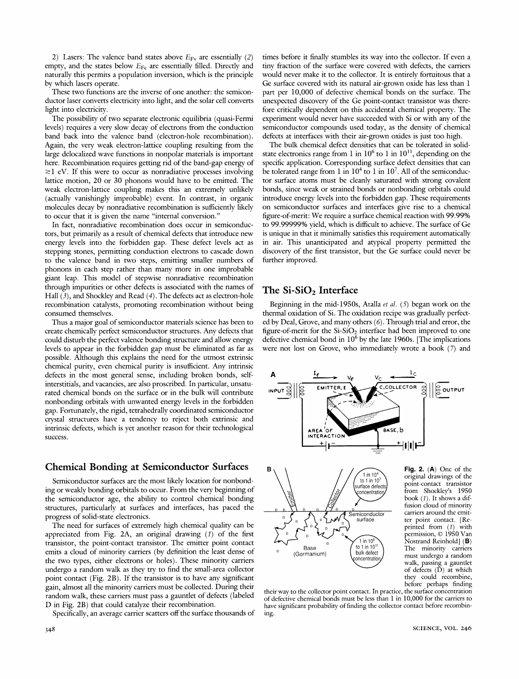2) Lasers: The valence band states above  $E_{Fv}$  are essentially (2) empty, and the states below  $E_{\text{Fc}}$  are essentially filled. Directly and naturally this permits a population inversion, which is the principle by which lascrs operate.

These two functions are the inverse of one another: the semiconductor laser converts electricity into light, and the solar cell converts light into electricity.

The possibility of two separate electronic equilibria (quasi-Fermi levels) requires a very slow decay of electrons from the conduction band back into the valence band (electron-hole recombination). Again, the very weak electron-lattice coupling resulting from the large delocalized wave functions in nonpolar materials is important here. Recombination requires getting rid of the band-gap energy of  $\geq 1$  eV. If this were to occur as nonradiative processes involving lattice motion, 20 or 30 phonons would have to be emitted. The weak electron-lattice coupling makes this an extremely unlikely (actually vanishingly improbable) event. In contrast, in organic molecules decay by nonradiative recombination is sufficiently likely to occur that it is given the name "internal conversion."

In fact, nonradiative recombination does occur in semiconductors, but primarily as a result of chemical defects that introduce new energy levels into the forbidden gap. These defect levels act as stepping stones, permitting conduction electrons to cascade down to the valence band in two steps, emitting smaller numbers of phonons in each step rather than many more in one improbable giant leap. This model of stepwise nonradiative recombination through impurities or other defects is associated with the names of Hall  $(3)$ , and Shockley and Read  $(4)$ . The defects act as electron-hole recombination catalysts, promoting recombination without being consumed themselves.

Thus a major goal of semiconductor materials science has been to create chemically perfect semiconductor structures. Any defects that could disturb the perfect valence bonding structure and allow energy levels to appear in the forbidden gap must be eliminated as far as possible. Although this explains the need for the utmost extrinsic chemical purity, even chemical purity is insufficient. Any intrinsic defects in the most general sense, including broken bonds, selfinterstitials, and vacancies, are also proscribed. In particular, unsaturated chemical bonds on the surface or in the bulk will contribute nonbonding orbitals with unwanted energy levels in the forbidden gap. Fortunately, the rigid, tetrahedrally coordinated semiconductor crystal structures have a tendency to reject both extrinsic and intrinsic defects, which is yet another reason for their technological success.

#### **Chemical Bonding at Semiconductor Surfaces**

Semiconductor surfaces are the most likely location for nonbonding or weakly bonding orbitals to occur. From the very beginning of the semiconductor age, the ability to control chemical bonding structures, particularly at surfaces and interfaces, has paced the progress of solid-state electronics.

The need for surfaces of extremely high chemical quality can be appreciated from Fig. 2A, an original drawing (1) of the first transistor, the point-contact transistor. The emitter point contact emits a cloud of minority carriers (by definition the least dense of the two types, either electrons or holes). These minority carriers undergo a random walk as they try to find the small-area collector point contact (Fig. 2B). If the transistor is to have any significant gain, almost all the minority carriers must be collected. During their random walk, these carriers must pass a gauntlet of defects (labeled D in Fig. 2B) that could catalyze their recombination.

Specifically, an average carrier scatters off the surface thousands of

times before it finally stumbles its way into the collector. If even a tiny fraction of the surface were covered with defects, the carriers would never make it to the collector. It is entirely fortuitous that a Ge surface covered with its natural air-grown oxide has less than 1 part per  $10,000$  of defective chemical bonds on the surface. The unexpected discovery of the Ge point-contact transistor was therefore critically dependent on this accidental chemical property. The experiment would never have succeeded with Si or with any of the semiconductor compounds used today, as the density of chemical defects at interfaces with their air-grown oxides is just too high.

The bulk chemical defect densities that can be tolerated in solidstate electronics range from 1 in  $10^6$  to 1 in  $10^{11}$ , depending on the specific application. Corresponding surface defect densities that can be tolerated range from 1 in  $10^4$  to 1 in  $10^7$ . All of the semiconductor surface atoms must be cleanly saturated with strong covalent bonds, since weak or strained bonds or nonbonding orbitals could introduce energy levels into the forbidden gap. These requirements on semiconductor surfaces and interfaces give rise to a chemical figure-of-merit: We require a surface chemical reaction with 99.99% to 99.99999% yield, which is difficult to achieve. The surface of Ge is unique in that it minimally satisfies this requirement automatically in air. This unanticipated and atypical property permitted the discovery of the first transistor, but the Ge surface could never be further improved.

## The Si-SiO<sub>2</sub> Interface

Beginning in the mid-1950s, Atalla et al. (5) began work on the thermal oxidation of Si. The oxidation recipe was gradually perfected by Deal, Grove, and many others *(6).*Through trial and error, the figure-of-merit for the  $Si-SiO<sub>2</sub>$  interface had been improved to one defective chemical bond in 10<sup>6</sup> by the late 1960s. [The implications were not lost on Grove, who immediately wrote a book (7) and





original drawings of the point-contact transistor from Shockley's 1950 book (1). It shows a diffusion cloud of minority carriers around the emitter point contact. [Reprinted from (1) with  $\widehat{\mathcal{H}}$  in 10<sup>6</sup><br>1 in 10<sup>6</sup><br>Nostrand Reinhold] (**B**) Nostrand Reinhold] **(8)**  The minority carriers must undergo a random walk, passing a gauntlet of defects  $(\tilde{D})$  at which they could recombine, before perhaps finding

their way to the collector point contact. In practice, the surface concentration of defective chernical bonds must be less than **1** in 10,000 for the carriers to have significant probability of finding the collector contact before recombining.

**SCIENCE, VOL. 246**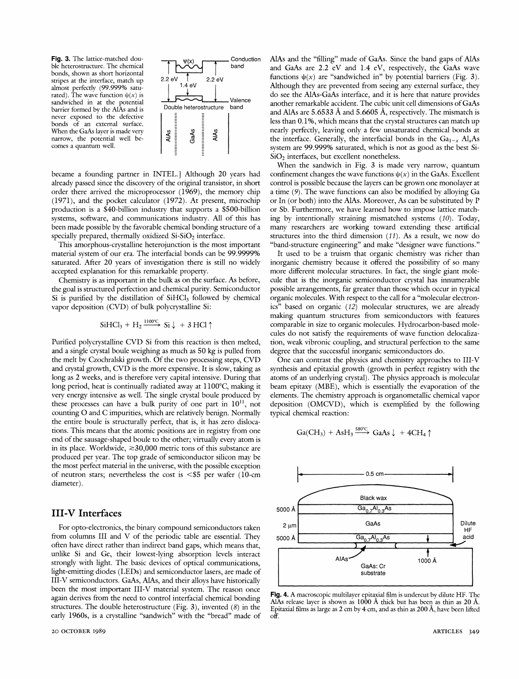ble heterostructure. The chemical bonds, shown as short horizontal stripes at the interface, match up almost perfectly (99.999% saturated). The wave function  $\psi(x)$  is sandwiched in at the potential barrier formed by the AlAs and is<br>
never exposed to the different experimental in the Solomon content of an external surface.<br>
When the GaAs layer is made very<br>
narrow, the potential well be-<br>
comes a quantum well. never exposed to the defective bonds of an external surface. When the GaAs layer is made very narrow, the potential well becomes a quantum well.



became a founding partner in INTEL.] Although 20 years had already passed since the discovery of the original transistor, in short order there arrived the microprocessor (1969), the memory chip  $(1971)$ , and the pocket calculator  $(1972)$ . At present, microchip production is a \$40-billion industry that supports a \$500-billion systems, software, and communications industry. All of this has been made possible by the favorable chemical bonding structure of a specially prepared, thermally oxidized  $Si-SiO<sub>2</sub>$  interface.

This amorphous-crystalline heterojunction is the most important material system of our era. The interfacial bonds can be 99.9999% saturated. After 20 years of investigation there is still no widely accepted explanation for this remarkable property.

Chemistry is as important in the bulk as on the surface. As before, the goal is structured perfection and chemical purity. Semiconductor Si is purified by the distillation of SiHCl<sub>3</sub> followed by chemical vapor deposition (CVD) of bulk polycrystalline Si:

$$
SiHCl_3 + H_2 \xrightarrow{1100^{\circ}C} Si \downarrow + 3 HCl \uparrow
$$

Purified polycrystalline CVD Si from this reaction is then melted, and a single crystal boule weighing as much as 50 kg is pulled from the melt by Czochralski growth. Of the two processing steps, CVD and crystal growth, CVD is the more expensive. It is slow, taking as long as 2 weeks, and is therefore very capital intensive. During that long period, heat is continually radiated away at 1100°C, making it very energy intensive as well. The single crystal boule produced by these processes can have a bulk purity of one part in  $10^{11}$ , not counting O and C impurities, which are relatively benign. Normally the entire boule is structurally perfect, that is, it has zero dislocations. This means that the atomic positions are in registry from one end of the sausage-shaped boule to the other; virtually every atom is in its place. Worldwide,  $\geq 30,000$  metric tons of this substance are produced per year. The top grade of semiconductor silicon may be the most perfect material in the universe, with the possible exception of neutron stars; nevertheless the cost is  $\le$  \$5 per wafer (10-cm diameter).

## **111-V Interfaces**

For opto-electronics, the binary compound semiconductors taken from columns III and  $V$  of the periodic table are essential. They often have direct rather than indirect band gaps, which means that, unlike Si and Ge, their lowest-lying absorption levels interact strongly with light. The basic devices of optical communications, light-emitting diodes (LEDs) and semiconductor lasers, are made of III-V semiconductors. GaAs, AlAs, and their alloys have historically been the most important 111-V material system. The reason once again derives from the need to control interfacial chemical bonding structures. The double heterostructure (Fig. 3), invented (8) in the early 1960s, is a crystalline "sandwich" with the "bread" made of AlAs and the "filling" made of GaAs. Since the band gaps of AlAs and GaAs are 2.2 eV and 1.4 eV, respectively, the GaAs wave functions  $\psi(x)$  are "sandwiched in" by potential barriers (Fig. 3). Although they are prevented from seeing any external surface, they do see the AlAs-GaAs interface, and it is here that nature provides another remarkable accident. The cubic unit cell dimensions of GaAs and AlAs are 5.6533 Å and 5.6605 Å, respectively. The mismatch is less than 0.1%, which means that the crystal structures can match up nearly perfectly, leaving only a few unsaturated chemical bonds at the interface. Generally, the interfacial bonds in the  $Ga_{1-x}$  Al<sub>x</sub>As system are 99.999% saturated, which is not as good as the best Si-SiO<sub>2</sub> interfaces, but excellent nonetheless.

When the sandwich in Fig. 3 is made very narrow, quantum confinement changes the wave functions  $\psi(x)$  in the GaAs. Excellent control is possible because the layers can be grown one monolayer at a time  $(9)$ . The wave functions can also be modified by alloying Ga or In (or both) into the AlAs. Moreover, As can be substituted by P or Sb. Furthermore, we have learned how to impose lattice matching by intentionally straining mismatched systems  $(10)$ . Today, many researchers are working toward extending these artificial structures into the third dimension (11). As a result, we now do "band-structure engineering" and make "designer wave functions."

It used to be a truism that organic chemistry was richer than inorganic chemistry because it offered the possibility of so many more different molecular structures. In fact, the single giant molecule that is the inorganic semiconductor crystal has innumerable possible arrangements, far greater than those which occur in typical organic molecules. With respect to the call for a "molecular electronics" based on organic (12) molecular structures, we are already making quantum structures from semiconductors with features comparable in size to organic molecules. Hydrocarbon-based molecules do not satisfy the requirements of wave function delocalization, weak vibronic coupling, and structural perfection to the same degree that the successful inorganic semiconductors do.

One can contrast the physics and chemistry approaches to 111-V synthesis and epitaxial growth (growth in perfect registry with the atoms of an underlying crystal). The physics approach is molecular beam epitaxy (MBE), which is essentially the evaporation of the elements. The chemistry approach is organometallic chemical vapor deposition (OMCVD), which is exemplified by the following typical chemical reaction:

$$
Ga(CH_3) + AsH_3 \xrightarrow{580^{\circ}C} GaAs \downarrow + 4CH_4 \uparrow
$$



Fig. 4. A macroscopic multilayer epitaxial film is undercut by dilute HF. The **AlAs** release laycr is shown as 1000 A thick but has been as thin as 20 A. Epitaxial films as large as  $2 \text{ cm}$  by  $4 \text{ cm}$ , and as thin as  $200 \text{ Å}$ , have been lifted off.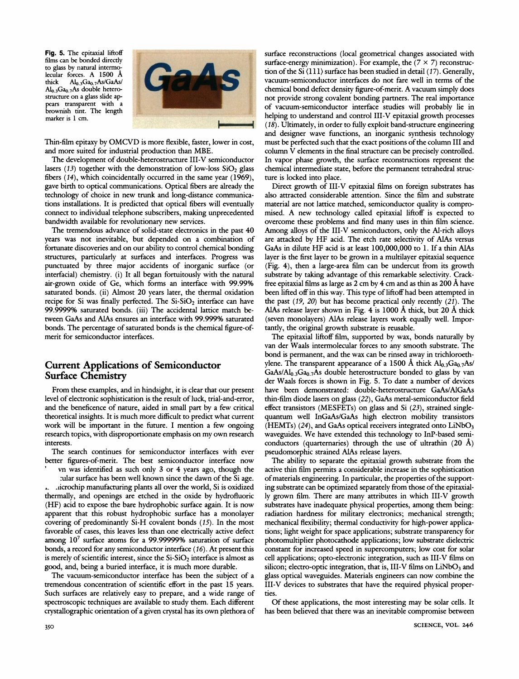to glass by natural intermo**lecular forces. A 1500 A pears transparent with a** 



Thin-film epitaxy by OMCVD is more flexible, faster, lower in cost, and more suited for industrial production than MBE.

The development of double-heterostructure 111-V semiconductor lasers (13) together with the demonstration of low-loss  $SiO<sub>2</sub>$  glass fibers (14), which coincidentally occurred in the same year (1969), gave birth to optical communications. Optical fibers are already the technology of choice in new trunk and long-distance communications installations. It is predicted that optical fibers will eventually connect to individual telephone subscribers, making unprecedented bandwidth available for revolutionary new services.

The tremendous advance of solid-state electronics in the past 40 years was not inevitable, but depended on a combination of fortunate discoveries and on our ability to control chemical bonding structures, particularly at surfaces and interfaces. Progress was punctuated by three major accidents of inorganic surface (or interfacial) chemistry. (i) It all began fortuitously with the natural air-grown oxide of Ge, which forms an interface with 99.99% saturated bonds. (ii) Almost 20 years later, the thermal oxidation recipe for Si was finally perfected. The  $Si-SiO<sub>2</sub>$  interface can have 99.9999% saturated bonds. (iii) The accidental lattice match between GaAs and **AlAs** ensures an interface with 99.999% saturated bonds. The percentage of saturated bonds is the chemical figure-ofmerit for semiconductor interfaces.

# **Current Applications of Semiconductor Surface Chemistry**

From these examples, and in hindsight, it is clear that our present level of electronic sophistication is the result of luck, trial-and-error, and the beneficence of nature, aided in small part by a few critical theoretical insights. It is much more difficult to predict what current work will be important in the **future.** I mention a few ongoing research topics, with disproportionate emphasis on my own research interests.

The search continues for semiconductor interfaces with ever<br>better figures-of-merit. The best semiconductor interface now better figures-of-merit. The best semiconductor interface now ' vn was identified as such only 3 or 4 years ago, though the :ular surface has been well known since the dawn of the Si age. ... .icrochip manufacturing plants all over the world, Si is oxidized thermally, and openings are etched in the oxide by hydrofluoric (HF) acid to expose the bare hydrophobic surface again. It is now apparent that this robust hydrophobic surface has a monolayer covering of predominantly Si-H covalent bonds (15). In the most favorable of cases, this leaves less than one electrically active defect among  $10^7$  surface atoms for a 99.99999% saturation of surface bonds, a record for any semiconductor interface (16). At present this

good, and, being a buried interface, it is much more durable. The vacuum-semiconductor interface has been the subject of a tremendous concentration of scientific effort in the past 15 years. Such surfaces are relatively easy to prepare, and a wide range of spectroscopic techniques are available to study them. Each different crystallographic orientation of a given crystal has its own plethora of

is merely of scientific interest, since the  $Si-SiO<sub>2</sub>$  interface is almost as

**Fig. 5.** The epitaxial liftoff **Fig. 5.** The epitaxial liftoff **surface reconstructions** (local geometrical changes associated with films can be bonded directly **surface energy minimization**). For example, the (7  $\times$  7) surface-energy minimization). For example, the (7 × 7) reconstruction of the Si (111) surface has been studied in detail (17). Generally, Films can be bonded directly<br>to glass by natural intermo-<br>lecular forces. A 1500 Å<br>thick Al<sub>0.3</sub>Ga<sub>0.7</sub>As (GaAs/<br>Al<sub>0.3</sub>Ga<sub>0.7</sub>As double hetero-<br>structure on a glass slide ap-<br>structure on a glass ideal (17). Generally,<br>st thick  $Al_{0.3}Ga_{0.7}As$  double hetero-<br>Al<sub>0.3</sub>Ga<sub>0.7</sub>As double hetero-<br>Response to the chemical bond defect density figure-of-merit. A vacuum simply does chemical bond defect density figure-of-merit. A vacuum simply does **structure on a glass slide ap-** not provide strong covalent bonding partners. The real importance pears transparent with a brownish tint. The length **brownish tint.** The length **brownish tint.** The length **of vacuum-semiconductor** interface studies will probably lie in helping to understand and control III-V epitaxial helping to understand and control III-V epitaxial growth processes (18). Ultimately, in order to fully exploit band-structure engineering and designer wave functions, an inorganic synthesis technology must be perfected such that the exact positions of the column I11 and column V elements in the final structure can be precisely controlled. In vapor phase growth, the surface reconstructions represent the chemical intermediate state, before the permanent tetrahedral structure is locked into place.

> Direct growth of 111-V epitaxial films on foreign substrates has also attracted considerable attention. Since the film and substrate material are not lattice matched, semiconductor quality is compromised. A new technology called epitaxial liftoff is expected to overcome these problems and find many uses in thin film science. Among alloys of the 111-V semiconductors, only the Al-rich alloys are attacked by HF acid. The etch rate selectivity of **AlAs** versus GaAs in dilute HF acid is at least 100,000,000 to 1. If a thin **AlAs**  layer is the first layer to be grown in a multilayer epitaxial sequence (Fig. 4), then a large-area film can be undercut fiom its growth substrate by taking advantage of this remarkable selectivity. Crackfiee epitaxial films as large as 2 cm by 4 cm and as thin as 200 A have been lifted off in this way. This type of liftoff had been attempted in the past (19, 20) but has become practical only recently (21). The **AlAs** release layer shown in Fig. 4 is 1000 A thick, but 20 A thick (seven monolayers) **AlAs** release layers work equally well. Importantly, the original growth substrate is reusable.

> The epitaxial liftoff film, supported by wax, bonds naturally by van der Waals intermolecular forces to any smooth substrate. The bond is permanent, and the wax can be rinsed away in trichloroethylene. The transparent appearance of a 1500 Å thick  $Al_{0.3}Ga_{0.7}As/$ GaAs/ $Al<sub>0.3</sub>Ga<sub>0.7</sub>As double heterostructure bonded to glass by van$ der Waals forces is shown in Fig. 5. To date a number of devices have been demonstrated: double-heterostructure GaAslAlGaAs thin-film diode lasers on glass (22), GaAs metal-semiconductor field effect transistors (MESFETs) on glass and Si (23), strained singlequantum well InGaAs/GaAs high electron mobility transistors (HEMTs) (24), and GaAs optical receivers integrated onto LiNbO<sub>3</sub> waveguides. We have extended this technology to InP-based semiconductors (quarternaries) through the use of ultrathin (20  $\AA$ ) pseudomorphic strained AlAs release layers.

> The ability to separate the epitaxial growth substrate from the active thin film permits a considerable increase in the sophistication of materials engineering. In particular, the properties of the supporting substrate can be optimized separately from those of the epitaxially grown film. There are many attributes in which 111-V growth substrates have inadequate physical properties, among them being: radiation hardness for military electronics; mechanical strength; mechanical flexibility; thermal conductivity for high-power applications; light weight for space applications; substrate transparency for photomultiplier photocathode applications; low substrate dielectric constant for increased speed in supercomputers; low cost for solar cell applications; opto-electronic integration, such as 111-V films on silicon; electro-optic integration, that is, III-V films on  $LiNbO<sub>3</sub>$  and glass optical waveguides. Materials engineers can now combine the 111-V devices to substrates that have the required physical properties.

> Of these applications, the most interesting may be solar cells. It has been believed that there was an inevitable compromise between